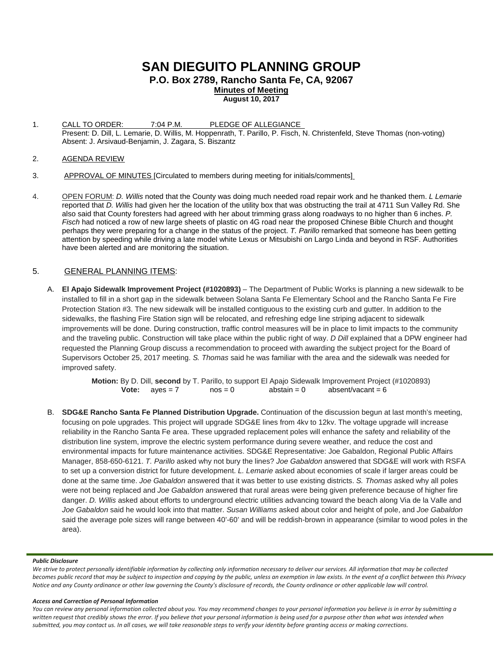# **SAN DIEGUITO PLANNING GROUP**

**P.O. Box 2789, Rancho Santa Fe, CA, 92067**

**Minutes of Meeting August 10, 2017**

1. CALL TO ORDER: 7:04 P.M. PLEDGE OF ALLEGIANCE Present: D. Dill, L. Lemarie, D. Willis, M. Hoppenrath, T. Parillo, P. Fisch, N. Christenfeld, Steve Thomas (non-voting) Absent: J. Arsivaud-Benjamin, J. Zagara, S. Biszantz

### 2. AGENDA REVIEW

- 3. APPROVAL OF MINUTES [Circulated to members during meeting for initials/comments]
- 4. OPEN FORUM: *D. Willis* noted that the County was doing much needed road repair work and he thanked them. *L Lemarie* reported that *D. Willis* had given her the location of the utility box that was obstructing the trail at 4711 Sun Valley Rd. She also said that County foresters had agreed with her about trimming grass along roadways to no higher than 6 inches. *P. Fisch* had noticed a row of new large sheets of plastic on 4G road near the proposed Chinese Bible Church and thought perhaps they were preparing for a change in the status of the project. *T. Parillo* remarked that someone has been getting attention by speeding while driving a late model white Lexus or Mitsubishi on Largo Linda and beyond in RSF. Authorities have been alerted and are monitoring the situation.

# 5. GENERAL PLANNING ITEMS:

A. **El Apajo Sidewalk Improvement Project (#1020893)** – The Department of Public Works is planning a new sidewalk to be installed to fill in a short gap in the sidewalk between Solana Santa Fe Elementary School and the Rancho Santa Fe Fire Protection Station #3. The new sidewalk will be installed contiguous to the existing curb and gutter. In addition to the sidewalks, the flashing Fire Station sign will be relocated, and refreshing edge line striping adjacent to sidewalk improvements will be done. During construction, traffic control measures will be in place to limit impacts to the community and the traveling public. Construction will take place within the public right of way. *D Dill* explained that a DPW engineer had requested the Planning Group discuss a recommendation to proceed with awarding the subject project for the Board of Supervisors October 25, 2017 meeting. *S. Thomas* said he was familiar with the area and the sidewalk was needed for improved safety.

> **Motion:** By D. Dill, **second** by T. Parillo, to support El Apajo Sidewalk Improvement Project (#1020893) **Vote:**  $a$ yes = 7  $a$ nos = 0  $a$ bstain = 0  $a$ bsent/vacant = 6

B. **SDG&E Rancho Santa Fe Planned Distribution Upgrade.** Continuation of the discussion begun at last month's meeting, focusing on pole upgrades. This project will upgrade SDG&E lines from 4kv to 12kv. The voltage upgrade will increase reliability in the Rancho Santa Fe area. These upgraded replacement poles will enhance the safety and reliability of the distribution line system, improve the electric system performance during severe weather, and reduce the cost and environmental impacts for future maintenance activities. SDG&E Representative: Joe Gabaldon, Regional Public Affairs Manager, [858-650-6121.](tel:(858)%20650-6121) *T. Parillo* asked why not bury the lines? *Joe Gabaldon* answered that SDG&E will work with RSFA to set up a conversion district for future development. *L. Lemarie* asked about economies of scale if larger areas could be done at the same time. *Joe Gabaldon* answered that it was better to use existing districts. *S. Thomas* asked why all poles were not being replaced and *Joe Gabaldon* answered that rural areas were being given preference because of higher fire danger. *D. Willis* asked about efforts to underground electric utilities advancing toward the beach along Via de la Valle and *Joe Gabaldon* said he would look into that matter. *Susan Williams* asked about color and height of pole, and *Joe Gabaldon* said the average pole sizes will range between 40'-60' and will be reddish-brown in appearance (similar to wood poles in the area).

#### *Public Disclosure*

*We strive to protect personally identifiable information by collecting only information necessary to deliver our services. All information that may be collected becomes public record that may be subject to inspection and copying by the public, unless an exemption in law exists. In the event of a conflict between this Privacy Notice and any County ordinance or other law governing the County's disclosure of records, the County ordinance or other applicable law will control.*

#### *Access and Correction of Personal Information*

*You can review any personal information collected about you. You may recommend changes to your personal information you believe is in error by submitting a*  written request that credibly shows the error. If you believe that your personal information is being used for a purpose other than what was intended when *submitted, you may contact us. In all cases, we will take reasonable steps to verify your identity before granting access or making corrections.*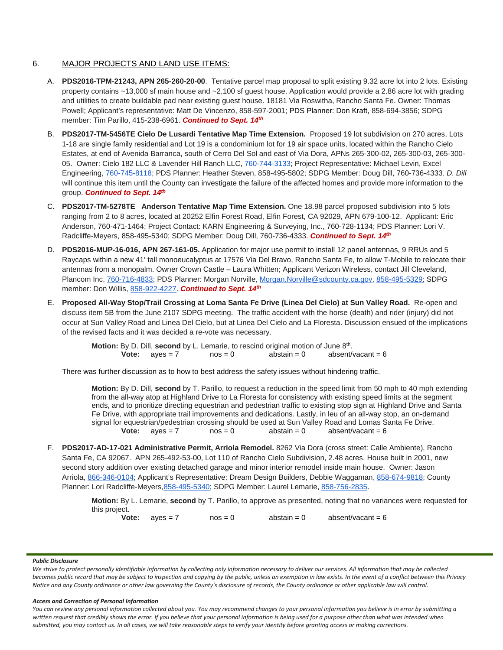# 6. MAJOR PROJECTS AND LAND USE ITEMS:

- A. **PDS2016-TPM-21243, APN 265-260-20-00**. Tentative parcel map proposal to split existing 9.32 acre lot into 2 lots. Existing property contains ~13,000 sf main house and ~2,100 sf guest house. Application would provide a 2.86 acre lot with grading and utilities to create buildable pad near existing guest house. 18181 Via Roswitha, Rancho Santa Fe. Owner: Thomas Powell; Applicant's representative: Matt De Vincenzo, 858-597-2001; PDS Planner: Don Kraft, 858-694-3856; SDPG member: Tim Parillo, [415-238-6961.](tel:415-238-6961) *Continued to Sept. 14th*
- B. **PDS2017-TM-5456TE Cielo De Lusardi Tentative Map Time Extension.** Proposed 19 lot subdivision on 270 acres, Lots 1-18 are single family residential and Lot 19 is a condominium lot for 19 air space units, located within the Rancho Cielo Estates, at end of Avenida Barranca, south of Cerro Del Sol and east of Via Dora, APNs 265-300-02, 265-300-03, 265-300- 05. Owner: Cielo 182 LLC & Lavender Hill Ranch LLC, [760-744-3133;](tel:(760)%20744-3133) Project Representative: Michael Levin, Excel Engineering, [760-745-8118;](tel:(760)%20745-8118) PDS Planner: Heather Steven, [858-495-5802;](tel:(858)%20495-5802) SDPG Member: Doug Dill, [760-736-4333.](tel:(760)%20736-4333) *D. Dill* will continue this item until the County can investigate the failure of the affected homes and provide more information to the group. *Continued to Sept. 14th*
- C. **PDS2017-TM-5278TE Anderson Tentative Map Time Extension.** One 18.98 parcel proposed subdivision into 5 lots ranging from 2 to 8 acres, located at 20252 Elfin Forest Road, Elfin Forest, CA 92029, APN 679-100-12. Applicant: Eric Anderson, 760-471-1464; Project Contact: KARN Engineering & Surveying, Inc., 760-728-1134; PDS Planner: Lori V. Radcliffe-Meyers, 858-495-5340; SDPG Member: Doug Dill, 760-736-4333. *Continued to Sept. 14th*
- D. **PDS2016-MUP-16-016, APN 267-161-05.** Application for major use permit to install 12 panel antennas, 9 RRUs and 5 Raycaps within a new 41' tall monoeucalyptus at 17576 Via Del Bravo, Rancho Santa Fe, to allow T-Mobile to relocate their antennas from a monopalm. Owner Crown Castle – Laura Whitten; Applicant Verizon Wireless, contact Jill Cleveland, Plancom Inc, [760-716-4833;](tel:(760)%20716-4833) PDS Planner: Morgan Norville, [Morgan.Norville@sdcounty.ca.gov,](mailto:Morgan.Norville@sdcounty.ca.gov) [858-495-5329;](tel:(858)%20495-5329) SDPG member: Don Willis, [858-922-4227.](tel:(858)%20922-4227) *Continued to Sept. 14th*
- E. **Proposed All-Way Stop/Trail Crossing at Loma Santa Fe Drive (Linea Del Cielo) at Sun Valley Road.** Re-open and discuss item 5B from the June 2107 SDPG meeting. The traffic accident with the horse (death) and rider (injury) did not occur at Sun Valley Road and Linea Del Cielo, but at Linea Del Cielo and La Floresta. Discussion ensued of the implications of the revised facts and it was decided a re-vote was necessary.

**Motion:** By D. Dill, **second** by L. Lemarie, to rescind original motion of June 8<sup>th</sup>.<br> **Vote:** aves = 7 nos = 0 absent/vacant = 6 **Vote:**  $ayes = 7$   $nos = 0$ 

There was further discussion as to how to best address the safety issues without hindering traffic.

**Motion:** By D. Dill, **second** by T. Parillo, to request a reduction in the speed limit from 50 mph to 40 mph extending from the all-way atop at Highland Drive to La Floresta for consistency with existing speed limits at the segment ends, and to prioritize directing equestrian and pedestrian traffic to existing stop sign at Highland Drive and Santa Fe Drive, with appropriate trail improvements and dedications. Lastly, in leu of an all-way stop, an on-demand signal for equestrian/pedestrian crossing should be used at Sun Valley Road and Lomas Santa Fe Drive. **Vote:**  $ayes = 7$   $nos = 0$   $abstant/vacant = 6$ 

F. **PDS2017-AD-17-021 Administrative Permit, Arriola Remodel.** 8262 Via Dora (cross street: Calle Ambiente), Rancho Santa Fe, CA 92067. APN 265-492-53-00, Lot 110 of Rancho Cielo Subdivision, 2.48 acres. House built in 2001, new second story addition over existing detached garage and minor interior remodel inside main house. Owner: Jason Arriola, [866-346-0104;](tel:(866)%20346-0104) Applicant's Representative: Dream Design Builders, Debbie Waggaman, [858-674-9818;](tel:(858)%20674-9818) County Planner: Lori Radcliffe-Meyers, 858-495-5340; SDPG Member: Laurel Lemarie, [858-756-2835.](tel:(858)%20756-2835)

> **Motion:** By L. Lemarie, **second** by T. Parillo, to approve as presented, noting that no variances were requested for this project.

**Vote:** ayes = 7 nos = 0 abstain = 0 absent/vacant = 6

#### *Public Disclosure*

*We strive to protect personally identifiable information by collecting only information necessary to deliver our services. All information that may be collected becomes public record that may be subject to inspection and copying by the public, unless an exemption in law exists. In the event of a conflict between this Privacy Notice and any County ordinance or other law governing the County's disclosure of records, the County ordinance or other applicable law will control.*

#### *Access and Correction of Personal Information*

*You can review any personal information collected about you. You may recommend changes to your personal information you believe is in error by submitting a*  written request that credibly shows the error. If you believe that your personal information is being used for a purpose other than what was intended when *submitted, you may contact us. In all cases, we will take reasonable steps to verify your identity before granting access or making corrections.*